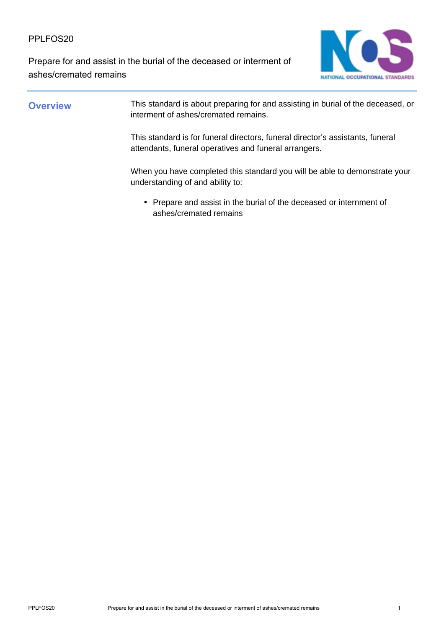PPLFOS20

Prepare for and assist in the burial of the deceased or interment of ashes/cremated remains



**Overview** This standard is about preparing for and assisting in burial of the deceased, or interment of ashes/cremated remains.

> This standard is for funeral directors, funeral director's assistants, funeral attendants, funeral operatives and funeral arrangers.

When you have completed this standard you will be able to demonstrate your understanding of and ability to:

• Prepare and assist in the burial of the deceased or internment of ashes/cremated remains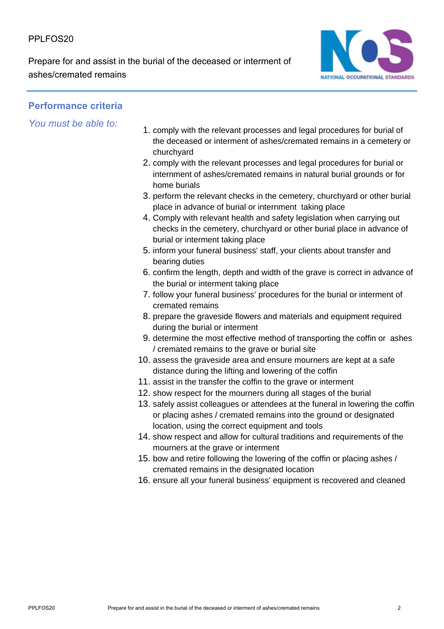PPI FOS<sub>20</sub>

Prepare for and assist in the burial of the deceased or interment of ashes/cremated remains



## **Performance criteria**

*You must be able to:*

- 1. comply with the relevant processes and legal procedures for burial of the deceased or interment of ashes/cremated remains in a cemetery or churchyard
- 2. comply with the relevant processes and legal procedures for burial or internment of ashes/cremated remains in natural burial grounds or for home burials
- 3. perform the relevant checks in the cemetery, churchyard or other burial place in advance of burial or internment taking place
- 4. Comply with relevant health and safety legislation when carrying out checks in the cemetery, churchyard or other burial place in advance of burial or interment taking place
- 5. inform your funeral business' staff, your clients about transfer and bearing duties
- 6. confirm the length, depth and width of the grave is correct in advance of the burial or interment taking place
- 7. follow your funeral business' procedures for the burial or interment of cremated remains
- 8. prepare the graveside flowers and materials and equipment required during the burial or interment
- 9. determine the most effective method of transporting the coffin or ashes / cremated remains to the grave or burial site
- 10. assess the graveside area and ensure mourners are kept at a safe distance during the lifting and lowering of the coffin
- 11. assist in the transfer the coffin to the grave or interment
- 12. show respect for the mourners during all stages of the burial
- 13. safely assist colleagues or attendees at the funeral in lowering the coffin or placing ashes / cremated remains into the ground or designated location, using the correct equipment and tools
- 14. show respect and allow for cultural traditions and requirements of the mourners at the grave or interment
- 15. bow and retire following the lowering of the coffin or placing ashes / cremated remains in the designated location
- 16. ensure all your funeral business' equipment is recovered and cleaned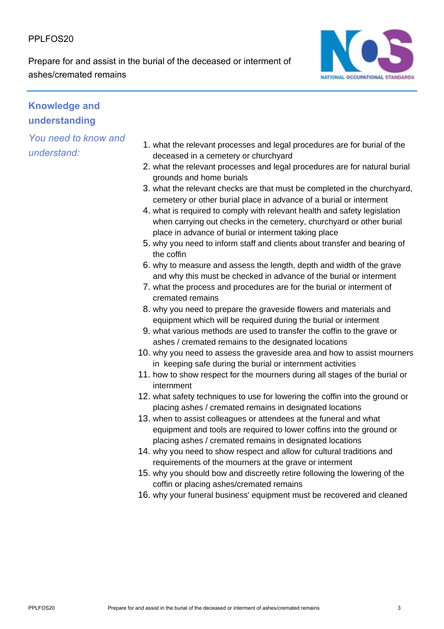PPI FOS<sub>20</sub>

Prepare for and assist in the burial of the deceased or interment of ashes/cremated remains



# **Knowledge and understanding**

*You need to know and understand:*

- 1. what the relevant processes and legal procedures are for burial of the deceased in a cemetery or churchyard
- 2. what the relevant processes and legal procedures are for natural burial grounds and home burials
- 3. what the relevant checks are that must be completed in the churchyard, cemetery or other burial place in advance of a burial or interment
- 4. what is required to comply with relevant health and safety legislation when carrying out checks in the cemetery, churchyard or other burial place in advance of burial or interment taking place
- 5. why you need to inform staff and clients about transfer and bearing of the coffin
- 6. why to measure and assess the length, depth and width of the grave and why this must be checked in advance of the burial or interment
- 7. what the process and procedures are for the burial or interment of cremated remains
- 8. why you need to prepare the graveside flowers and materials and equipment which will be required during the burial or interment
- 9. what various methods are used to transfer the coffin to the grave or ashes / cremated remains to the designated locations
- 10. why you need to assess the graveside area and how to assist mourners in keeping safe during the burial or internment activities
- 11. how to show respect for the mourners during all stages of the burial or internment
- 12. what safety techniques to use for lowering the coffin into the ground or placing ashes / cremated remains in designated locations
- 13. when to assist colleagues or attendees at the funeral and what equipment and tools are required to lower coffins into the ground or placing ashes / cremated remains in designated locations
- 14. why you need to show respect and allow for cultural traditions and requirements of the mourners at the grave or interment
- 15. why you should bow and discreetly retire following the lowering of the coffin or placing ashes/cremated remains
- 16. why your funeral business' equipment must be recovered and cleaned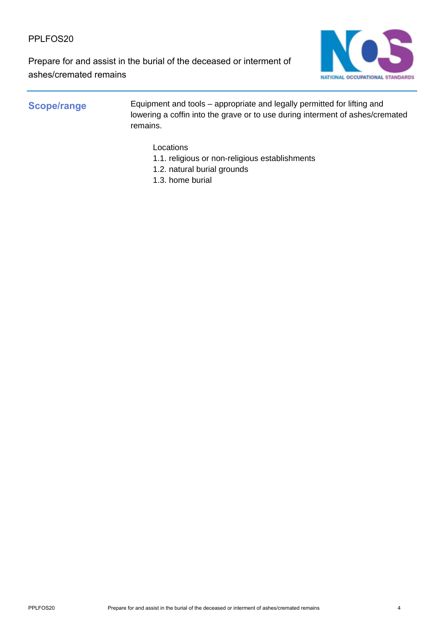PPLFOS20

Prepare for and assist in the burial of the deceased or interment of ashes/cremated remains



**Scope/range** Equipment and tools – appropriate and legally permitted for lifting and lowering a coffin into the grave or to use during interment of ashes/cremated remains.

Locations

- 1.1. religious or non-religious establishments
- 1.2. natural burial grounds
- 1.3. home burial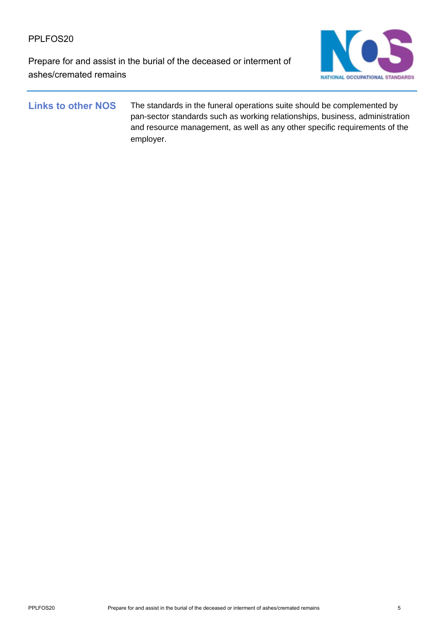Prepare for and assist in the burial of the deceased or interment of ashes/cremated remains



Links to other NOS The standards in the funeral operations suite should be complemented by pan-sector standards such as working relationships, business, administration and resource management, as well as any other specific requirements of the employer.